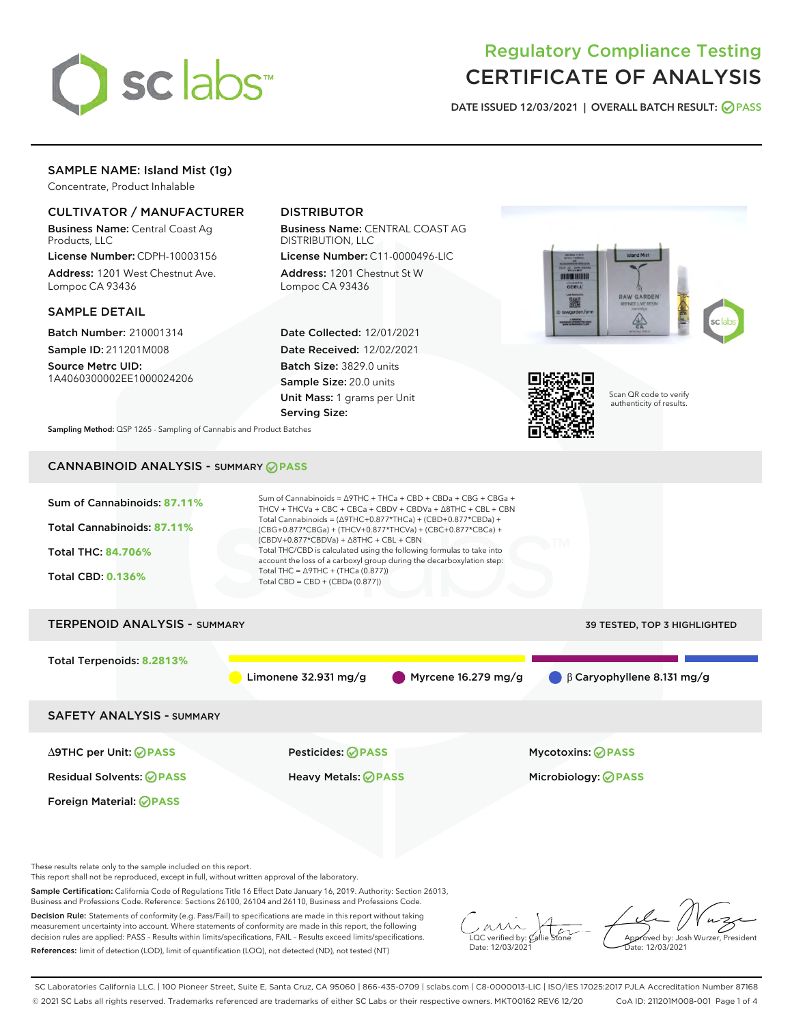

# Regulatory Compliance Testing CERTIFICATE OF ANALYSIS

DATE ISSUED 12/03/2021 | OVERALL BATCH RESULT: @ PASS

# SAMPLE NAME: Island Mist (1g)

Concentrate, Product Inhalable

# CULTIVATOR / MANUFACTURER

Business Name: Central Coast Ag Products, LLC

License Number: CDPH-10003156 Address: 1201 West Chestnut Ave. Lompoc CA 93436

### SAMPLE DETAIL

Batch Number: 210001314 Sample ID: 211201M008

Source Metrc UID: 1A4060300002EE1000024206

# DISTRIBUTOR

Business Name: CENTRAL COAST AG DISTRIBUTION, LLC

License Number: C11-0000496-LIC Address: 1201 Chestnut St W Lompoc CA 93436

Date Collected: 12/01/2021 Date Received: 12/02/2021 Batch Size: 3829.0 units Sample Size: 20.0 units Unit Mass: 1 grams per Unit Serving Size:





Scan QR code to verify authenticity of results.

Sampling Method: QSP 1265 - Sampling of Cannabis and Product Batches

# CANNABINOID ANALYSIS - SUMMARY **PASS**



These results relate only to the sample included on this report.

This report shall not be reproduced, except in full, without written approval of the laboratory.

Sample Certification: California Code of Regulations Title 16 Effect Date January 16, 2019. Authority: Section 26013, Business and Professions Code. Reference: Sections 26100, 26104 and 26110, Business and Professions Code.

Decision Rule: Statements of conformity (e.g. Pass/Fail) to specifications are made in this report without taking measurement uncertainty into account. Where statements of conformity are made in this report, the following decision rules are applied: PASS – Results within limits/specifications, FAIL – Results exceed limits/specifications. References: limit of detection (LOD), limit of quantification (LOQ), not detected (ND), not tested (NT)

 $\overline{\text{C}}$  verified by:  $\mathcal C$ Date: 12/03/2021

Approved by: Josh Wurzer, President ate: 12/03/2021

SC Laboratories California LLC. | 100 Pioneer Street, Suite E, Santa Cruz, CA 95060 | 866-435-0709 | sclabs.com | C8-0000013-LIC | ISO/IES 17025:2017 PJLA Accreditation Number 87168 © 2021 SC Labs all rights reserved. Trademarks referenced are trademarks of either SC Labs or their respective owners. MKT00162 REV6 12/20 CoA ID: 211201M008-001 Page 1 of 4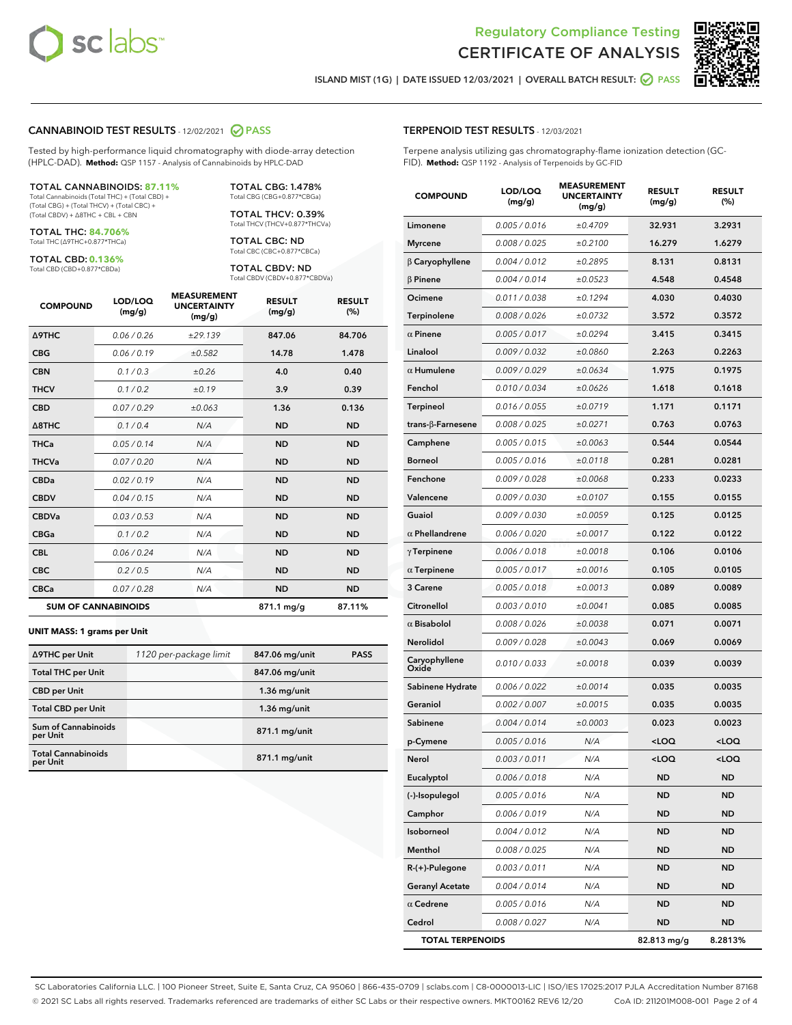

Terpene analysis utilizing gas chromatography-flame ionization detection (GC-



ISLAND MIST (1G) | DATE ISSUED 12/03/2021 | OVERALL BATCH RESULT: O PASS

TERPENOID TEST RESULTS - 12/03/2021

FID). **Method:** QSP 1192 - Analysis of Terpenoids by GC-FID

#### CANNABINOID TEST RESULTS - 12/02/2021 2 PASS

Tested by high-performance liquid chromatography with diode-array detection (HPLC-DAD). **Method:** QSP 1157 - Analysis of Cannabinoids by HPLC-DAD

#### TOTAL CANNABINOIDS: **87.11%**

Total Cannabinoids (Total THC) + (Total CBD) + (Total CBG) + (Total THCV) + (Total CBC) + (Total CBDV) + ∆8THC + CBL + CBN

TOTAL THC: **84.706%** Total THC (∆9THC+0.877\*THCa)

TOTAL CBD: **0.136%**

Total CBD (CBD+0.877\*CBDa)

TOTAL CBG: 1.478% Total CBG (CBG+0.877\*CBGa)

TOTAL THCV: 0.39% Total THCV (THCV+0.877\*THCVa)

TOTAL CBC: ND Total CBC (CBC+0.877\*CBCa)

TOTAL CBDV: ND Total CBDV (CBDV+0.877\*CBDVa)

| <b>COMPOUND</b>            | LOD/LOQ<br>(mg/g) | <b>MEASUREMENT</b><br><b>UNCERTAINTY</b><br>(mg/g) | <b>RESULT</b><br>(mg/g) | <b>RESULT</b><br>(%) |
|----------------------------|-------------------|----------------------------------------------------|-------------------------|----------------------|
| <b>A9THC</b>               | 0.06/0.26         | ±29.139                                            | 847.06                  | 84.706               |
| <b>CBG</b>                 | 0.06/0.19         | ±0.582                                             | 14.78                   | 1.478                |
| <b>CBN</b>                 | 0.1/0.3           | ±0.26                                              | 4.0                     | 0.40                 |
| <b>THCV</b>                | 0.1/0.2           | ±0.19                                              | 3.9                     | 0.39                 |
| <b>CBD</b>                 | 0.07/0.29         | ±0.063                                             | 1.36                    | 0.136                |
| $\triangle$ 8THC           | 0.1 / 0.4         | N/A                                                | <b>ND</b>               | <b>ND</b>            |
| <b>THCa</b>                | 0.05/0.14         | N/A                                                | <b>ND</b>               | <b>ND</b>            |
| <b>THCVa</b>               | 0.07/0.20         | N/A                                                | <b>ND</b>               | <b>ND</b>            |
| <b>CBDa</b>                | 0.02/0.19         | N/A                                                | <b>ND</b>               | <b>ND</b>            |
| <b>CBDV</b>                | 0.04 / 0.15       | N/A                                                | <b>ND</b>               | <b>ND</b>            |
| <b>CBDVa</b>               | 0.03/0.53         | N/A                                                | <b>ND</b>               | <b>ND</b>            |
| <b>CBGa</b>                | 0.1/0.2           | N/A                                                | <b>ND</b>               | <b>ND</b>            |
| <b>CBL</b>                 | 0.06 / 0.24       | N/A                                                | <b>ND</b>               | <b>ND</b>            |
| <b>CBC</b>                 | 0.2 / 0.5         | N/A                                                | <b>ND</b>               | <b>ND</b>            |
| <b>CBCa</b>                | 0.07 / 0.28       | N/A                                                | <b>ND</b>               | <b>ND</b>            |
| <b>SUM OF CANNABINOIDS</b> |                   |                                                    | $871.1 \,\mathrm{mg/g}$ | 87.11%               |

#### **UNIT MASS: 1 grams per Unit**

| ∆9THC per Unit                         | 1120 per-package limit | 847.06 mg/unit | <b>PASS</b> |
|----------------------------------------|------------------------|----------------|-------------|
| <b>Total THC per Unit</b>              |                        | 847.06 mg/unit |             |
| <b>CBD per Unit</b>                    |                        | $1.36$ mg/unit |             |
| <b>Total CBD per Unit</b>              |                        | $1.36$ mg/unit |             |
| <b>Sum of Cannabinoids</b><br>per Unit |                        | 871.1 mg/unit  |             |
| <b>Total Cannabinoids</b><br>per Unit  |                        | 871.1 mg/unit  |             |

| <b>COMPOUND</b>         | LOD/LOQ<br>(mg/g) | <b>MEASUREMENT</b><br><b>UNCERTAINTY</b><br>(mg/g) | <b>RESULT</b><br>(mg/g)                         | <b>RESULT</b><br>(%) |
|-------------------------|-------------------|----------------------------------------------------|-------------------------------------------------|----------------------|
| Limonene                | 0.005 / 0.016     | ±0.4709                                            | 32.931                                          | 3.2931               |
| <b>Myrcene</b>          | 0.008 / 0.025     | ±0.2100                                            | 16.279                                          | 1.6279               |
| $\beta$ Caryophyllene   | 0.004 / 0.012     | ±0.2895                                            | 8.131                                           | 0.8131               |
| $\beta$ Pinene          | 0.004 / 0.014     | ±0.0523                                            | 4.548                                           | 0.4548               |
| Ocimene                 | 0.011 / 0.038     | ±0.1294                                            | 4.030                                           | 0.4030               |
| <b>Terpinolene</b>      | 0.008 / 0.026     | ±0.0732                                            | 3.572                                           | 0.3572               |
| $\alpha$ Pinene         | 0.005 / 0.017     | ±0.0294                                            | 3.415                                           | 0.3415               |
| Linalool                | 0.009 / 0.032     | ±0.0860                                            | 2.263                                           | 0.2263               |
| $\alpha$ Humulene       | 0.009/0.029       | ±0.0634                                            | 1.975                                           | 0.1975               |
| Fenchol                 | 0.010 / 0.034     | ±0.0626                                            | 1.618                                           | 0.1618               |
| Terpineol               | 0.016 / 0.055     | ±0.0719                                            | 1.171                                           | 0.1171               |
| trans-β-Farnesene       | 0.008 / 0.025     | ±0.0271                                            | 0.763                                           | 0.0763               |
| Camphene                | 0.005 / 0.015     | ±0.0063                                            | 0.544                                           | 0.0544               |
| Borneol                 | 0.005 / 0.016     | ±0.0118                                            | 0.281                                           | 0.0281               |
| Fenchone                | 0.009 / 0.028     | ±0.0068                                            | 0.233                                           | 0.0233               |
| Valencene               | 0.009 / 0.030     | ±0.0107                                            | 0.155                                           | 0.0155               |
| Guaiol                  | 0.009 / 0.030     | ±0.0059                                            | 0.125                                           | 0.0125               |
| $\alpha$ Phellandrene   | 0.006 / 0.020     | ±0.0017                                            | 0.122                                           | 0.0122               |
| $\gamma$ Terpinene      | 0.006 / 0.018     | ±0.0018                                            | 0.106                                           | 0.0106               |
| $\alpha$ Terpinene      | 0.005 / 0.017     | ±0.0016                                            | 0.105                                           | 0.0105               |
| <b>3 Carene</b>         | 0.005 / 0.018     | ±0.0013                                            | 0.089                                           | 0.0089               |
| Citronellol             | 0.003 / 0.010     | ±0.0041                                            | 0.085                                           | 0.0085               |
| $\alpha$ Bisabolol      | 0.008 / 0.026     | ±0.0038                                            | 0.071                                           | 0.0071               |
| Nerolidol               | 0.009 / 0.028     | ±0.0043                                            | 0.069                                           | 0.0069               |
| Caryophyllene<br>Oxide  | 0.010 / 0.033     | ±0.0018                                            | 0.039                                           | 0.0039               |
| Sabinene Hydrate        | 0.006 / 0.022     | ±0.0014                                            | 0.035                                           | 0.0035               |
| Geraniol                | 0.002 / 0.007     | ±0.0015                                            | 0.035                                           | 0.0035               |
| Sabinene                | 0.004 / 0.014     | ±0.0003                                            | 0.023                                           | 0.0023               |
| p-Cymene                | 0.005 / 0.016     | N/A                                                | <loq< th=""><th><loq< th=""></loq<></th></loq<> | <loq< th=""></loq<>  |
| Nerol                   | 0.003/0.011       | N/A                                                | <loq< th=""><th><loq< th=""></loq<></th></loq<> | <loq< th=""></loq<>  |
| Eucalyptol              | 0.006 / 0.018     | N/A                                                | ND                                              | ND                   |
| (-)-Isopulegol          | 0.005 / 0.016     | N/A                                                | ND                                              | ND                   |
| Camphor                 | 0.006 / 0.019     | N/A                                                | ND                                              | ND                   |
| Isoborneol              | 0.004 / 0.012     | N/A                                                | <b>ND</b>                                       | ND                   |
| Menthol                 | 0.008 / 0.025     | N/A                                                | ND                                              | ND                   |
| R-(+)-Pulegone          | 0.003 / 0.011     | N/A                                                | ND                                              | ND                   |
| <b>Geranyl Acetate</b>  | 0.004 / 0.014     | N/A                                                | <b>ND</b>                                       | ND                   |
| $\alpha$ Cedrene        | 0.005 / 0.016     | N/A                                                | ND                                              | ND                   |
| Cedrol                  | 0.008 / 0.027     | N/A                                                | ND                                              | ND                   |
| <b>TOTAL TERPENOIDS</b> |                   |                                                    | 82.813 mg/g                                     | 8.2813%              |

SC Laboratories California LLC. | 100 Pioneer Street, Suite E, Santa Cruz, CA 95060 | 866-435-0709 | sclabs.com | C8-0000013-LIC | ISO/IES 17025:2017 PJLA Accreditation Number 87168 © 2021 SC Labs all rights reserved. Trademarks referenced are trademarks of either SC Labs or their respective owners. MKT00162 REV6 12/20 CoA ID: 211201M008-001 Page 2 of 4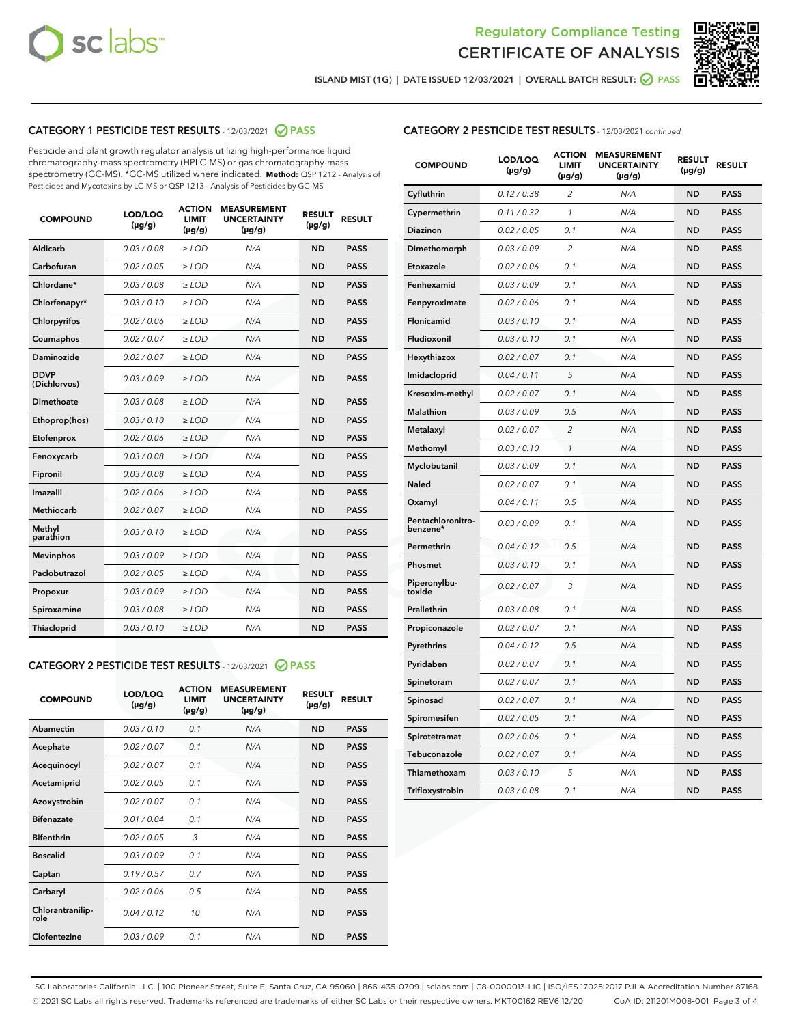



ISLAND MIST (1G) | DATE ISSUED 12/03/2021 | OVERALL BATCH RESULT:  $\bigcirc$  PASS

# CATEGORY 1 PESTICIDE TEST RESULTS - 12/03/2021 2 PASS

Pesticide and plant growth regulator analysis utilizing high-performance liquid chromatography-mass spectrometry (HPLC-MS) or gas chromatography-mass spectrometry (GC-MS). \*GC-MS utilized where indicated. **Method:** QSP 1212 - Analysis of Pesticides and Mycotoxins by LC-MS or QSP 1213 - Analysis of Pesticides by GC-MS

| <b>COMPOUND</b>             | LOD/LOQ<br>$(\mu g/g)$ | <b>ACTION</b><br><b>LIMIT</b><br>$(\mu g/g)$ | <b>MEASUREMENT</b><br><b>UNCERTAINTY</b><br>$(\mu g/g)$ | <b>RESULT</b><br>$(\mu g/g)$ | <b>RESULT</b> |
|-----------------------------|------------------------|----------------------------------------------|---------------------------------------------------------|------------------------------|---------------|
| Aldicarb                    | 0.03 / 0.08            | $\ge$ LOD                                    | N/A                                                     | <b>ND</b>                    | <b>PASS</b>   |
| Carbofuran                  | 0.02/0.05              | $>$ LOD                                      | N/A                                                     | <b>ND</b>                    | <b>PASS</b>   |
| Chlordane*                  | 0.03 / 0.08            | $\ge$ LOD                                    | N/A                                                     | <b>ND</b>                    | <b>PASS</b>   |
| Chlorfenapyr*               | 0.03/0.10              | $\ge$ LOD                                    | N/A                                                     | <b>ND</b>                    | <b>PASS</b>   |
| Chlorpyrifos                | 0.02 / 0.06            | $\ge$ LOD                                    | N/A                                                     | <b>ND</b>                    | <b>PASS</b>   |
| Coumaphos                   | 0.02 / 0.07            | $>$ LOD                                      | N/A                                                     | <b>ND</b>                    | <b>PASS</b>   |
| Daminozide                  | 0.02 / 0.07            | $\ge$ LOD                                    | N/A                                                     | <b>ND</b>                    | <b>PASS</b>   |
| <b>DDVP</b><br>(Dichlorvos) | 0.03/0.09              | $\ge$ LOD                                    | N/A                                                     | <b>ND</b>                    | <b>PASS</b>   |
| <b>Dimethoate</b>           | 0.03 / 0.08            | $\ge$ LOD                                    | N/A                                                     | <b>ND</b>                    | <b>PASS</b>   |
| Ethoprop(hos)               | 0.03/0.10              | $>$ LOD                                      | N/A                                                     | <b>ND</b>                    | <b>PASS</b>   |
| Etofenprox                  | 0.02 / 0.06            | $\ge$ LOD                                    | N/A                                                     | <b>ND</b>                    | <b>PASS</b>   |
| Fenoxycarb                  | 0.03 / 0.08            | $>$ LOD                                      | N/A                                                     | <b>ND</b>                    | <b>PASS</b>   |
| Fipronil                    | 0.03 / 0.08            | $\ge$ LOD                                    | N/A                                                     | <b>ND</b>                    | <b>PASS</b>   |
| Imazalil                    | 0.02 / 0.06            | $\ge$ LOD                                    | N/A                                                     | <b>ND</b>                    | <b>PASS</b>   |
| <b>Methiocarb</b>           | 0.02 / 0.07            | $\ge$ LOD                                    | N/A                                                     | <b>ND</b>                    | <b>PASS</b>   |
| Methyl<br>parathion         | 0.03/0.10              | $>$ LOD                                      | N/A                                                     | <b>ND</b>                    | <b>PASS</b>   |
| <b>Mevinphos</b>            | 0.03/0.09              | $>$ LOD                                      | N/A                                                     | <b>ND</b>                    | <b>PASS</b>   |
| Paclobutrazol               | 0.02 / 0.05            | $\ge$ LOD                                    | N/A                                                     | <b>ND</b>                    | <b>PASS</b>   |
| Propoxur                    | 0.03/0.09              | $\ge$ LOD                                    | N/A                                                     | <b>ND</b>                    | <b>PASS</b>   |
| Spiroxamine                 | 0.03 / 0.08            | $\ge$ LOD                                    | N/A                                                     | <b>ND</b>                    | <b>PASS</b>   |
| <b>Thiacloprid</b>          | 0.03/0.10              | $\ge$ LOD                                    | N/A                                                     | <b>ND</b>                    | <b>PASS</b>   |
|                             |                        |                                              |                                                         |                              |               |

# CATEGORY 2 PESTICIDE TEST RESULTS - 12/03/2021 @ PASS

| <b>COMPOUND</b>          | LOD/LOO<br>$(\mu g/g)$ | <b>ACTION</b><br>LIMIT<br>$(\mu g/g)$ | <b>MEASUREMENT</b><br><b>UNCERTAINTY</b><br>$(\mu g/g)$ | <b>RESULT</b><br>$(\mu g/g)$ | <b>RESULT</b> |
|--------------------------|------------------------|---------------------------------------|---------------------------------------------------------|------------------------------|---------------|
| Abamectin                | 0.03/0.10              | 0.1                                   | N/A                                                     | <b>ND</b>                    | <b>PASS</b>   |
| Acephate                 | 0.02/0.07              | 0.1                                   | N/A                                                     | <b>ND</b>                    | <b>PASS</b>   |
| Acequinocyl              | 0.02/0.07              | 0.1                                   | N/A                                                     | <b>ND</b>                    | <b>PASS</b>   |
| Acetamiprid              | 0.02/0.05              | 0.1                                   | N/A                                                     | <b>ND</b>                    | <b>PASS</b>   |
| Azoxystrobin             | 0.02/0.07              | 0.1                                   | N/A                                                     | <b>ND</b>                    | <b>PASS</b>   |
| <b>Bifenazate</b>        | 0.01/0.04              | 0.1                                   | N/A                                                     | <b>ND</b>                    | <b>PASS</b>   |
| <b>Bifenthrin</b>        | 0.02/0.05              | 3                                     | N/A                                                     | <b>ND</b>                    | <b>PASS</b>   |
| <b>Boscalid</b>          | 0.03/0.09              | 0.1                                   | N/A                                                     | <b>ND</b>                    | <b>PASS</b>   |
| Captan                   | 0.19/0.57              | 0.7                                   | N/A                                                     | <b>ND</b>                    | <b>PASS</b>   |
| Carbaryl                 | 0.02/0.06              | 0.5                                   | N/A                                                     | <b>ND</b>                    | <b>PASS</b>   |
| Chlorantranilip-<br>role | 0.04/0.12              | 10                                    | N/A                                                     | <b>ND</b>                    | <b>PASS</b>   |
| Clofentezine             | 0.03/0.09              | 0.1                                   | N/A                                                     | <b>ND</b>                    | <b>PASS</b>   |

| <b>COMPOUND</b>               | LOD/LOQ<br>(µg/g) | <b>ACTION</b><br><b>LIMIT</b><br>$(\mu g/g)$ | <b>MEASUREMENT</b><br><b>UNCERTAINTY</b><br>$(\mu g/g)$ | <b>RESULT</b><br>(µg/g) | <b>RESULT</b> |
|-------------------------------|-------------------|----------------------------------------------|---------------------------------------------------------|-------------------------|---------------|
| Cyfluthrin                    | 0.12 / 0.38       | $\overline{c}$                               | N/A                                                     | ND                      | <b>PASS</b>   |
| Cypermethrin                  | 0.11 / 0.32       | 1                                            | N/A                                                     | ND                      | <b>PASS</b>   |
| <b>Diazinon</b>               | 0.02 / 0.05       | 0.1                                          | N/A                                                     | ND                      | <b>PASS</b>   |
| Dimethomorph                  | 0.03 / 0.09       | 2                                            | N/A                                                     | <b>ND</b>               | <b>PASS</b>   |
| Etoxazole                     | 0.02 / 0.06       | 0.1                                          | N/A                                                     | ND                      | <b>PASS</b>   |
| Fenhexamid                    | 0.03 / 0.09       | 0.1                                          | N/A                                                     | ND                      | <b>PASS</b>   |
| Fenpyroximate                 | 0.02 / 0.06       | 0.1                                          | N/A                                                     | ND                      | <b>PASS</b>   |
| Flonicamid                    | 0.03 / 0.10       | 0.1                                          | N/A                                                     | <b>ND</b>               | <b>PASS</b>   |
| Fludioxonil                   | 0.03 / 0.10       | 0.1                                          | N/A                                                     | ND                      | <b>PASS</b>   |
| Hexythiazox                   | 0.02 / 0.07       | 0.1                                          | N/A                                                     | <b>ND</b>               | <b>PASS</b>   |
| Imidacloprid                  | 0.04 / 0.11       | 5                                            | N/A                                                     | <b>ND</b>               | <b>PASS</b>   |
| Kresoxim-methyl               | 0.02 / 0.07       | 0.1                                          | N/A                                                     | ND                      | <b>PASS</b>   |
| <b>Malathion</b>              | 0.03 / 0.09       | 0.5                                          | N/A                                                     | <b>ND</b>               | <b>PASS</b>   |
| Metalaxyl                     | 0.02 / 0.07       | $\overline{2}$                               | N/A                                                     | <b>ND</b>               | <b>PASS</b>   |
| Methomyl                      | 0.03 / 0.10       | 1                                            | N/A                                                     | <b>ND</b>               | <b>PASS</b>   |
| Myclobutanil                  | 0.03 / 0.09       | 0.1                                          | N/A                                                     | ND                      | <b>PASS</b>   |
| Naled                         | 0.02 / 0.07       | 0.1                                          | N/A                                                     | <b>ND</b>               | <b>PASS</b>   |
| Oxamyl                        | 0.04 / 0.11       | 0.5                                          | N/A                                                     | <b>ND</b>               | <b>PASS</b>   |
| Pentachloronitro-<br>benzene* | 0.03 / 0.09       | 0.1                                          | N/A                                                     | <b>ND</b>               | <b>PASS</b>   |
| Permethrin                    | 0.04 / 0.12       | 0.5                                          | N/A                                                     | ND                      | <b>PASS</b>   |
| Phosmet                       | 0.03 / 0.10       | 0.1                                          | N/A                                                     | <b>ND</b>               | <b>PASS</b>   |
| Piperonylbu-<br>toxide        | 0.02 / 0.07       | 3                                            | N/A                                                     | ND                      | <b>PASS</b>   |
| Prallethrin                   | 0.03 / 0.08       | 0.1                                          | N/A                                                     | ND                      | <b>PASS</b>   |
| Propiconazole                 | 0.02 / 0.07       | 0.1                                          | N/A                                                     | ND                      | <b>PASS</b>   |
| Pyrethrins                    | 0.04 / 0.12       | 0.5                                          | N/A                                                     | ND                      | <b>PASS</b>   |
| Pyridaben                     | 0.02 / 0.07       | 0.1                                          | N/A                                                     | ND                      | <b>PASS</b>   |
| Spinetoram                    | 0.02 / 0.07       | 0.1                                          | N/A                                                     | ND                      | <b>PASS</b>   |
| Spinosad                      | 0.02 / 0.07       | 0.1                                          | N/A                                                     | ND                      | <b>PASS</b>   |
| Spiromesifen                  | 0.02 / 0.05       | 0.1                                          | N/A                                                     | <b>ND</b>               | <b>PASS</b>   |
| Spirotetramat                 | 0.02 / 0.06       | 0.1                                          | N/A                                                     | <b>ND</b>               | <b>PASS</b>   |
| Tebuconazole                  | 0.02 / 0.07       | 0.1                                          | N/A                                                     | <b>ND</b>               | <b>PASS</b>   |
| Thiamethoxam                  | 0.03 / 0.10       | 5                                            | N/A                                                     | ND                      | <b>PASS</b>   |
| Trifloxystrobin               | 0.03 / 0.08       | 0.1                                          | N/A                                                     | <b>ND</b>               | <b>PASS</b>   |

SC Laboratories California LLC. | 100 Pioneer Street, Suite E, Santa Cruz, CA 95060 | 866-435-0709 | sclabs.com | C8-0000013-LIC | ISO/IES 17025:2017 PJLA Accreditation Number 87168 © 2021 SC Labs all rights reserved. Trademarks referenced are trademarks of either SC Labs or their respective owners. MKT00162 REV6 12/20 CoA ID: 211201M008-001 Page 3 of 4